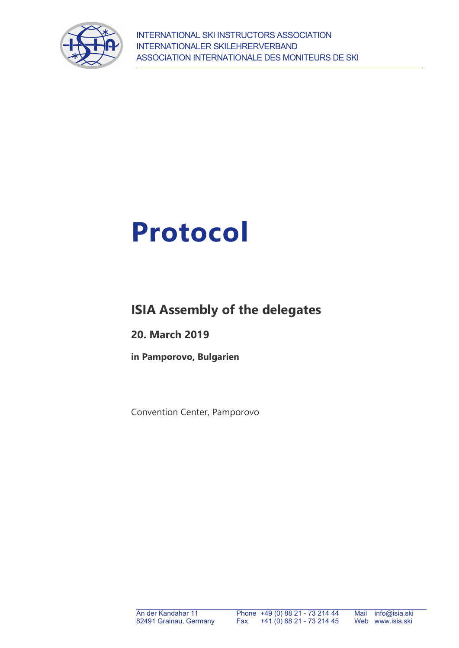



# **ISIA Assembly of the delegates**

**20. March 2019**

**in Pamporovo, Bulgarien** 

Convention Center, Pamporovo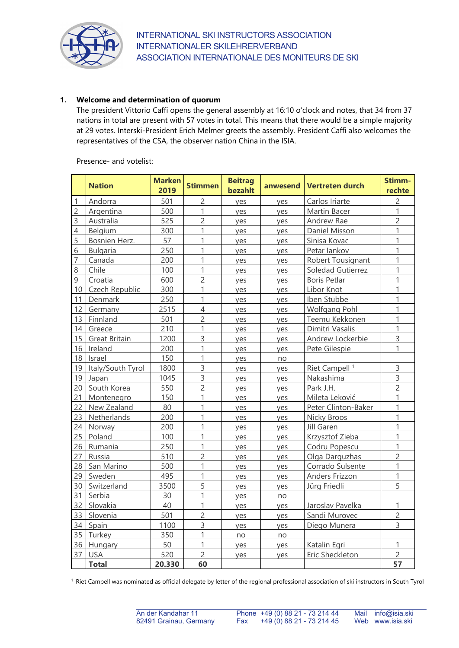

## **1. Welcome and determination of quorum**

The president Vittorio Caffi opens the general assembly at 16:10 o'clock and notes, that 34 from 37 nations in total are present with 57 votes in total. This means that there would be a simple majority at 29 votes. Interski-President Erich Melmer greets the assembly. President Caffi also welcomes the representatives of the CSA, the observer nation China in the ISIA.

|                | <b>Nation</b>     | <b>Marken</b><br>2019 | <b>Stimmen</b> | <b>Beitrag</b><br>bezahlt | anwesend | <b>Vertreten durch</b>    | Stimm-<br>rechte |
|----------------|-------------------|-----------------------|----------------|---------------------------|----------|---------------------------|------------------|
| $\mathbf{1}$   | Andorra           | 501                   | $\overline{c}$ | yes                       | yes      | Carlos Iriarte            | $\overline{c}$   |
| $\overline{c}$ | Argentina         | 500                   | 1              | yes                       | yes      | Martin Bacer              | $\mathbf{1}$     |
| $\mathsf{3}$   | Australia         | 525                   | $\overline{c}$ | yes                       | yes      | Andrew Rae                | $\overline{2}$   |
| $\overline{4}$ | Belgium           | 300                   | 1              | yes                       | yes      | Daniel Misson             | 1                |
| 5              | Bosnien Herz.     | 57                    | $\mathbf{1}$   | yes                       | yes      | Sinisa Kovac              | $\mathbf{1}$     |
| 6              | <b>Bulgaria</b>   | 250                   | $\mathbf{1}$   | yes                       | ves      | Petar lankov              | $\mathbf{1}$     |
| $\overline{7}$ | Canada            | 200                   | 1              | yes                       | yes      | Robert Tousignant         | 1                |
| 8              | Chile             | 100                   | 1              | yes                       | yes      | Soledad Gutierrez         | 1                |
| $\mathsf 9$    | Croatia           | 600                   | $\overline{c}$ | yes                       | yes      | Boris Petlar              | 1                |
| 10             | Czech Republic    | 300                   | 1              | yes                       | yes      | Libor Knot                | $\mathbf{1}$     |
| 11             | Denmark           | 250                   | 1              | yes                       | yes      | Iben Stubbe               | 1                |
| 12             | Germany           | 2515                  | $\overline{4}$ | yes                       | yes      | Wolfgang Pohl             | $\mathbf{1}$     |
| 13             | Finnland          | 501                   | $\overline{c}$ | yes                       | yes      | Teemu Kekkonen            | $\mathbf{1}$     |
| 14             | Greece            | 210                   | 1              | yes                       | yes      | Dimitri Vasalis           | 1                |
| 15             | Great Britain     | 1200                  | 3              | ves                       | ves      | Andrew Lockerbie          | 3                |
| 16             | Ireland           | 200                   | 1              | yes                       | yes      | Pete Gilespie             | 1                |
| 18             | Israel            | 150                   | $\overline{1}$ | yes                       | no       |                           |                  |
| 19             | Italy/South Tyrol | 1800                  | 3              | yes                       | yes      | Riet Campell <sup>1</sup> | 3                |
| 19             | Japan             | 1045                  | $\overline{3}$ | yes                       | yes      | Nakashima                 | 3                |
| 20             | South Korea       | 550                   | $\overline{c}$ | yes                       | yes      | Park J.H.                 | $\overline{2}$   |
| 21             | Montenegro        | 150                   | 1              | yes                       | yes      | Mileta Leković            | 1                |
| 22             | New Zealand       | 80                    | 1              | ves                       | ves      | Peter Clinton-Baker       | 1                |
| 23             | Netherlands       | 200                   | 1              | yes                       | yes      | Nicky Broos               | 1                |
| 24             | Norway            | 200                   | 1              | yes                       | yes      | Jill Garen                | $\mathbf{1}$     |
| 25             | Poland            | 100                   | 1              | yes                       | yes      | Krzysztof Zieba           | $\mathbf{1}$     |
| 26             | Rumania           | 250                   | $\overline{1}$ | yes                       | yes      | Codru Popescu             | $\mathbf{1}$     |
| 27             | Russia            | 510                   | $\overline{c}$ | yes                       | yes      | Olga Darguzhas            | $\overline{2}$   |
| 28             | San Marino        | 500                   | 1              | ves                       | yes      | Corrado Sulsente          | 1                |
| 29             | Sweden            | 495                   | 1              | ves                       | yes      | Anders Frizzon            | 1                |
| 30             | Switzerland       | 3500                  | 5              | yes                       | yes      | Jürg Friedli              | 5                |
| 31             | Serbia            | 30                    | 1              | yes                       | no       |                           |                  |
| 32             | Slovakia          | 40                    | $\overline{1}$ | yes                       | yes      | Jaroslav Pavelka          | 1                |
| 33             | Slovenia          | 501                   | $\overline{c}$ | yes                       | yes      | Sandi Murovec             | $\overline{2}$   |
| 34             | Spain             | 1100                  | $\overline{3}$ | yes                       | yes      | Diego Munera              | 3                |
| 35             | Turkey            | 350                   | 1              | no                        | no       |                           |                  |
| 36             | Hungary           | 50                    | 1              | yes                       | yes      | Katalin Egri              | $\mathbf{1}$     |
| 37             | <b>USA</b>        | 520                   | $\overline{c}$ | yes                       | yes      | Eric Sheckleton           | $\overline{c}$   |
|                | <b>Total</b>      | 20.330                | 60             |                           |          |                           | 57               |

#### Presence- and votelist:

1 Riet Campell was nominated as official delegate by letter of the regional professional association of ski instructors in South Tyrol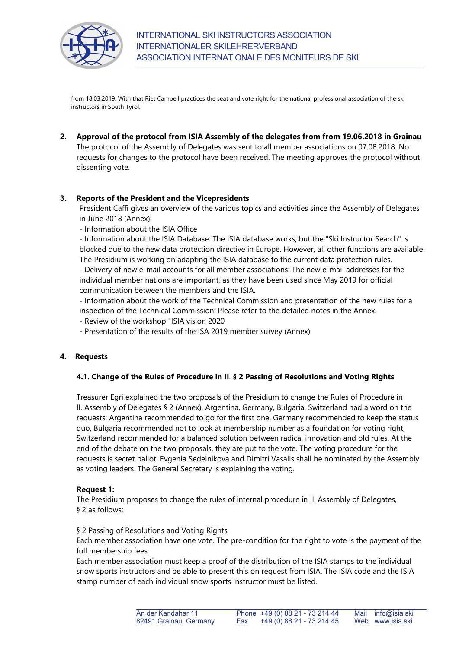

from 18.03.2019. With that Riet Campell practices the seat and vote right for the national professional association of the ski instructors in South Tyrol.

**2. Approval of the protocol from ISIA Assembly of the delegates from from 19.06.2018 in Grainau**  The protocol of the Assembly of Delegates was sent to all member associations on 07.08.2018. No requests for changes to the protocol have been received. The meeting approves the protocol without dissenting vote.

## **3. Reports of the President and the Vicepresidents**

President Caffi gives an overview of the various topics and activities since the Assembly of Delegates in June 2018 (Annex):

- Information about the ISIA Office

- Information about the ISIA Database: The ISIA database works, but the "Ski Instructor Search" is blocked due to the new data protection directive in Europe. However, all other functions are available. The Presidium is working on adapting the ISIA database to the current data protection rules. - Delivery of new e-mail accounts for all member associations: The new e-mail addresses for the individual member nations are important, as they have been used since May 2019 for official communication between the members and the ISIA.

- Information about the work of the Technical Commission and presentation of the new rules for a inspection of the Technical Commission: Please refer to the detailed notes in the Annex.

- Review of the workshop "ISIA vision 2020
- Presentation of the results of the ISA 2019 member survey (Annex)

## **4. Requests**

#### **4.1. Change of the Rules of Procedure in II**. **§ 2 Passing of Resolutions and Voting Rights**

Treasurer Egri explained the two proposals of the Presidium to change the Rules of Procedure in II. Assembly of Delegates § 2 (Annex). Argentina, Germany, Bulgaria, Switzerland had a word on the requests: Argentina recommended to go for the first one, Germany recommended to keep the status quo, Bulgaria recommended not to look at membership number as a foundation for voting right, Switzerland recommended for a balanced solution between radical innovation and old rules. At the end of the debate on the two proposals, they are put to the vote. The voting procedure for the requests is secret ballot. Evgenia Sedelnikova and Dimitri Vasalis shall be nominated by the Assembly as voting leaders. The General Secretary is explaining the voting.

#### **Request 1:**

The Presidium proposes to change the rules of internal procedure in II. Assembly of Delegates, § 2 as follows:

#### § 2 Passing of Resolutions and Voting Rights

Each member association have one vote. The pre-condition for the right to vote is the payment of the full membership fees.

Each member association must keep a proof of the distribution of the ISIA stamps to the individual snow sports instructors and be able to present this on request from ISIA. The ISIA code and the ISIA stamp number of each individual snow sports instructor must be listed.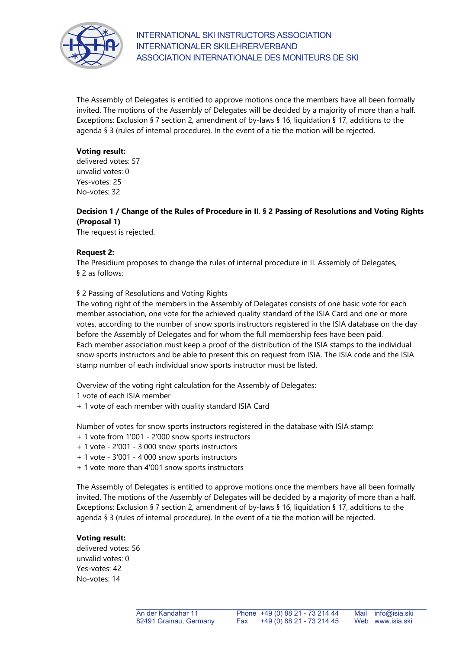

The Assembly of Delegates is entitled to approve motions once the members have all been formally invited. The motions of the Assembly of Delegates will be decided by a majority of more than a half. Exceptions: Exclusion § 7 section 2, amendment of by-laws § 16, liquidation § 17, additions to the agenda § 3 (rules of internal procedure). In the event of a tie the motion will be rejected.

#### **Voting result:**

delivered votes: 57 unvalid votes: 0 Yes-votes: 25 No-votes: 32

## **Decision 1 / Change of the Rules of Procedure in II**. **§ 2 Passing of Resolutions and Voting Rights (Proposal 1)**

The request is rejected.

## **Request 2:**

The Presidium proposes to change the rules of internal procedure in II. Assembly of Delegates, § 2 as follows:

## § 2 Passing of Resolutions and Voting Rights

The voting right of the members in the Assembly of Delegates consists of one basic vote for each member association, one vote for the achieved quality standard of the ISIA Card and one or more votes, according to the number of snow sports instructors registered in the ISIA database on the day before the Assembly of Delegates and for whom the full membership fees have been paid. Each member association must keep a proof of the distribution of the ISIA stamps to the individual snow sports instructors and be able to present this on request from ISIA. The ISIA code and the ISIA stamp number of each individual snow sports instructor must be listed.

Overview of the voting right calculation for the Assembly of Delegates:

1 vote of each ISIA member

+ 1 vote of each member with quality standard ISIA Card

Number of votes for snow sports instructors registered in the database with ISIA stamp:

- + 1 vote from 1'001 2'000 snow sports instructors
- + 1 vote 2'001 3'000 snow sports instructors
- + 1 vote 3'001 4'000 snow sports instructors
- + 1 vote more than 4'001 snow sports instructors

The Assembly of Delegates is entitled to approve motions once the members have all been formally invited. The motions of the Assembly of Delegates will be decided by a majority of more than a half. Exceptions: Exclusion § 7 section 2, amendment of by-laws § 16, liquidation § 17, additions to the agenda § 3 (rules of internal procedure). In the event of a tie the motion will be rejected.

#### **Voting result:**

delivered votes: 56 unvalid votes: 0 Yes-votes: 42 No-votes: 14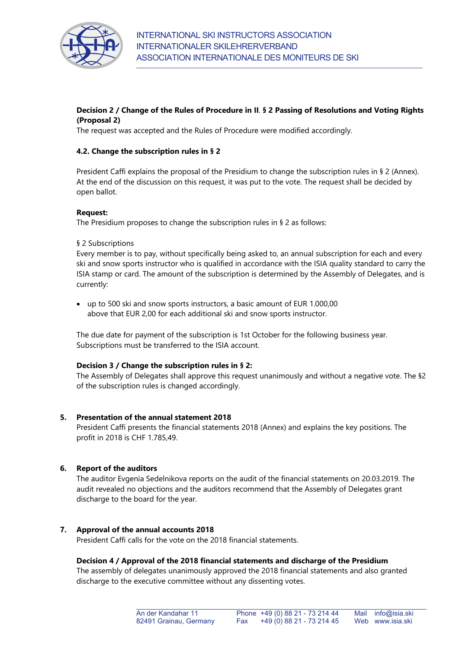

## **Decision 2 / Change of the Rules of Procedure in II**. **§ 2 Passing of Resolutions and Voting Rights (Proposal 2)**

The request was accepted and the Rules of Procedure were modified accordingly.

## **4.2. Change the subscription rules in § 2**

President Caffi explains the proposal of the Presidium to change the subscription rules in § 2 (Annex). At the end of the discussion on this request, it was put to the vote. The request shall be decided by open ballot.

#### **Request:**

The Presidium proposes to change the subscription rules in § 2 as follows:

#### § 2 Subscriptions

Every member is to pay, without specifically being asked to, an annual subscription for each and every ski and snow sports instructor who is qualified in accordance with the ISIA quality standard to carry the ISIA stamp or card. The amount of the subscription is determined by the Assembly of Delegates, and is currently:

 up to 500 ski and snow sports instructors, a basic amount of EUR 1.000,00 above that EUR 2,00 for each additional ski and snow sports instructor.

The due date for payment of the subscription is 1st October for the following business year. Subscriptions must be transferred to the ISIA account.

#### **Decision 3 / Change the subscription rules in § 2:**

The Assembly of Delegates shall approve this request unanimously and without a negative vote. The §2 of the subscription rules is changed accordingly.

#### **5. Presentation of the annual statement 2018**

President Caffi presents the financial statements 2018 (Annex) and explains the key positions. The profit in 2018 is CHF 1.785,49.

#### **6. Report of the auditors**

The auditor Evgenia Sedelnikova reports on the audit of the financial statements on 20.03.2019. The audit revealed no objections and the auditors recommend that the Assembly of Delegates grant discharge to the board for the year.

#### **7. Approval of the annual accounts 2018**

President Caffi calls for the vote on the 2018 financial statements.

#### **Decision 4 / Approval of the 2018 financial statements and discharge of the Presidium**

The assembly of delegates unanimously approved the 2018 financial statements and also granted discharge to the executive committee without any dissenting votes.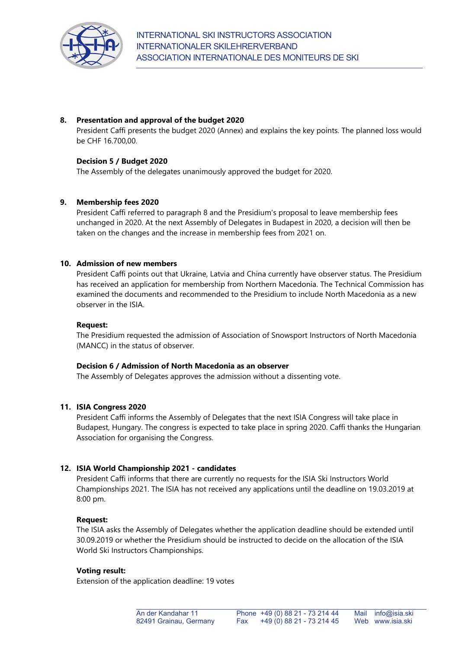

## **8. Presentation and approval of the budget 2020**

President Caffi presents the budget 2020 (Annex) and explains the key points. The planned loss would be CHF 16.700,00.

## **Decision 5 / Budget 2020**

The Assembly of the delegates unanimously approved the budget for 2020.

## **9. Membership fees 2020**

President Caffi referred to paragraph 8 and the Presidium's proposal to leave membership fees unchanged in 2020. At the next Assembly of Delegates in Budapest in 2020, a decision will then be taken on the changes and the increase in membership fees from 2021 on.

## **10. Admission of new members**

President Caffi points out that Ukraine, Latvia and China currently have observer status. The Presidium has received an application for membership from Northern Macedonia. The Technical Commission has examined the documents and recommended to the Presidium to include North Macedonia as a new observer in the ISIA.

### **Request:**

The Presidium requested the admission of Association of Snowsport Instructors of North Macedonia (MANCC) in the status of observer.

### **Decision 6 / Admission of North Macedonia as an observer**

The Assembly of Delegates approves the admission without a dissenting vote.

## **11. ISIA Congress 2020**

President Caffi informs the Assembly of Delegates that the next ISIA Congress will take place in Budapest, Hungary. The congress is expected to take place in spring 2020. Caffi thanks the Hungarian Association for organising the Congress.

## **12. ISIA World Championship 2021 - candidates**

President Caffi informs that there are currently no requests for the ISIA Ski Instructors World Championships 2021. The ISIA has not received any applications until the deadline on 19.03.2019 at 8:00 pm.

#### **Request:**

The ISIA asks the Assembly of Delegates whether the application deadline should be extended until 30.09.2019 or whether the Presidium should be instructed to decide on the allocation of the ISIA World Ski Instructors Championships.

#### **Voting result:**

Extension of the application deadline: 19 votes